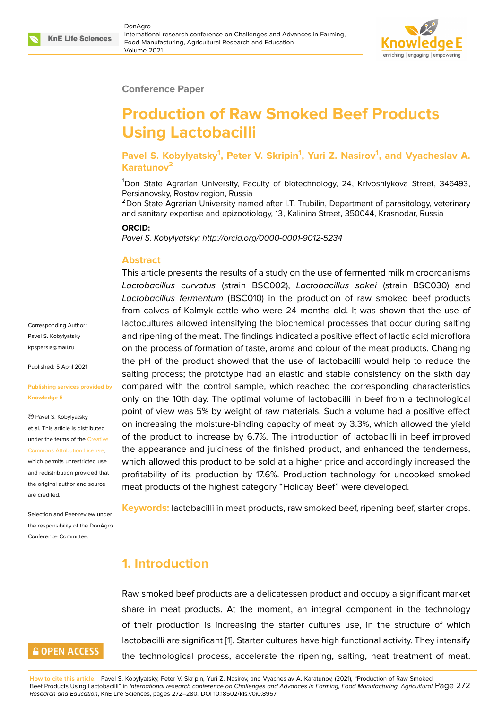

#### **Conference Paper**

# **Production of Raw Smoked Beef Products Using Lactobacilli**

**Pavel S. Kobylyatsky<sup>1</sup> , Peter V. Skripin<sup>1</sup> , Yuri Z. Nasirov<sup>1</sup> , and Vyacheslav A. Karatunov<sup>2</sup>**

<sup>1</sup>Don State Agrarian University, Faculty of biotechnology, 24, Krivoshlykova Street, 346493, Persianovsky, Rostov region, Russia

 $<sup>2</sup>$ Don State Agrarian University named after I.T. Trubilin, Department of parasitology, veterinary</sup> and sanitary expertise and epizootiology, 13, Kalinina Street, 350044, Krasnodar, Russia

#### **ORCID:**

*Pavel S. Kobylyatsky: http://orcid.org/0000-0001-9012-5234*

#### **Abstract**

This article presents the results of a study on the use of fermented milk microorganisms *Lactobacillus curvatus* (strain BSC002), *Lactobacillus sakei* (strain BSC030) and *Lactobacillus fermentum* (BSC010) in the production of raw smoked beef products from calves of Kalmyk cattle who were 24 months old. It was shown that the use of lactocultures allowed intensifying the biochemical processes that occur during salting and ripening of the meat. The findings indicated a positive effect of lactic acid microflora on the process of formation of taste, aroma and colour of the meat products. Changing the pH of the product showed that the use of lactobacilli would help to reduce the salting process; the prototype had an elastic and stable consistency on the sixth day compared with the control sample, which reached the corresponding characteristics only on the 10th day. The optimal volume of lactobacilli in beef from a technological point of view was 5% by weight of raw materials. Such a volume had a positive effect on increasing the moisture-binding capacity of meat by 3.3%, which allowed the yield of the product to increase by 6.7%. The introduction of lactobacilli in beef improved the appearance and juiciness of the finished product, and enhanced the tenderness, which allowed this product to be sold at a higher price and accordingly increased the profitability of its production by 17.6%. Production technology for uncooked smoked meat products of the highest category "Holiday Beef" were developed.

**Keywords:** lactobacilli in meat products, raw smoked beef, ripening beef, starter crops.

#### **1. Introduction**

Raw smoked beef products are a delicatessen product and occupy a significant market share in meat products. At the moment, an integral component in the technology of their production is increasing the starter cultures use, in the structure of which lactobacilli are significant [1]. Starter cultures have high functional activity. They intensify the technological process, accelerate the ripening, salting, heat treatment of meat.

**How to cite this article**: Pavel S. Kobylyatsky, Peter V. Skripin, Yuri Z. Nasirov, and Vyacheslav A. Karatunov, (2021), "Production of Raw Smoked Beef Products Using Lactobacilli" in *International research conference [on](#page-6-0) Challenges and Advances in Farming, Food Manufacturing, Agricultural* Page 272 *Research and Education*, KnE Life Sciences, pages 272–280. DOI 10.18502/kls.v0i0.8957

Corresponding Author: Pavel S. Kobylyatsky kpspersia@mail.ru

Published: 5 April 2021

#### **[Publishing service](mailto:kpspersia@mail.ru)s provided by Knowledge E**

Pavel S. Kobylyatsky et al. This article is distributed under the terms of the Creative Commons Attribution License,

which permits unrestricted use and redistribution provided that the original author and [source](https://creativecommons.org/licenses/by/4.0/) [are credited.](https://creativecommons.org/licenses/by/4.0/)

Selection and Peer-review under the responsibility of the DonAgro Conference Committee.

# **GOPEN ACCESS**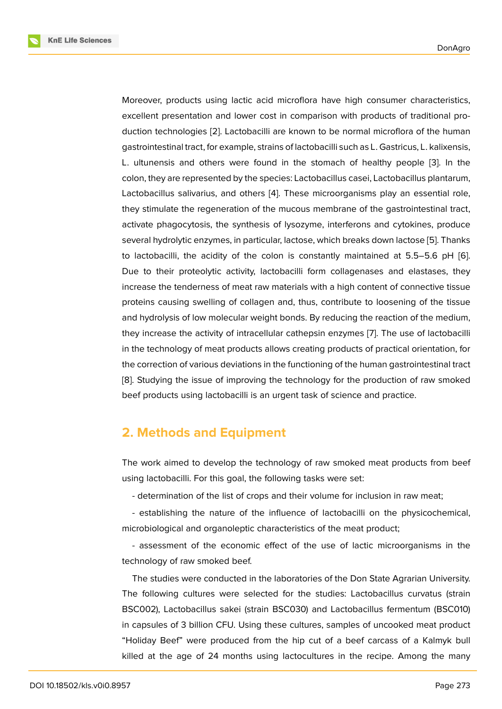Moreover, products using lactic acid microflora have high consumer characteristics, excellent presentation and lower cost in comparison with products of traditional production technologies [2]. Lactobacilli are known to be normal microflora of the human gastrointestinal tract, for example, strains of lactobacilli such as L. Gastricus, L. kalixensis, L. ultunensis and others were found in the stomach of healthy people [3]. In the colon, they are repres[en](#page-6-1)ted by the species: Lactobacillus casei, Lactobacillus plantarum, Lactobacillus salivarius, and others [4]. These microorganisms play an essential role, they stimulate the regeneration of the mucous membrane of the gastrointes[tin](#page-6-2)al tract, activate phagocytosis, the synthesis of lysozyme, interferons and cytokines, produce several hydrolytic enzymes, in particu[la](#page-7-0)r, lactose, which breaks down lactose [5]. Thanks to lactobacilli, the acidity of the colon is constantly maintained at 5.5–5.6 pH [6]. Due to their proteolytic activity, lactobacilli form collagenases and elastases, they increase the tenderness of meat raw materials with a high content of conne[cti](#page-7-1)ve tissue proteins causing swelling of collagen and, thus, contribute to loosening of the tiss[ue](#page-7-2) and hydrolysis of low molecular weight bonds. By reducing the reaction of the medium, they increase the activity of intracellular cathepsin enzymes [7]. The use of lactobacilli in the technology of meat products allows creating products of practical orientation, for the correction of various deviations in the functioning of the human gastrointestinal tract [8]. Studying the issue of improving the technology for the p[ro](#page-7-3)duction of raw smoked beef products using lactobacilli is an urgent task of science and practice.

## **[2](#page-7-4). Methods and Equipment**

The work aimed to develop the technology of raw smoked meat products from beef using lactobacilli. For this goal, the following tasks were set:

- determination of the list of crops and their volume for inclusion in raw meat;

- establishing the nature of the influence of lactobacilli on the physicochemical, microbiological and organoleptic characteristics of the meat product;

- assessment of the economic effect of the use of lactic microorganisms in the technology of raw smoked beef.

The studies were conducted in the laboratories of the Don State Agrarian University. The following cultures were selected for the studies: Lactobacillus curvatus (strain BSC002), Lactobacillus sakei (strain BSC030) and Lactobacillus fermentum (BSC010) in capsules of 3 billion CFU. Using these cultures, samples of uncooked meat product "Holiday Beef" were produced from the hip cut of a beef carcass of a Kalmyk bull killed at the age of 24 months using lactocultures in the recipe. Among the many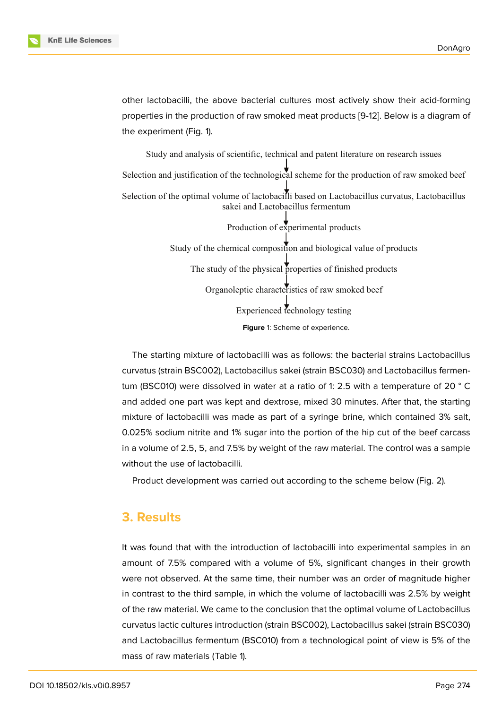other lactobacilli, the above bacterial cultures most actively show their acid-forming properties in the production of raw smoked meat products [9-12]. Below is a diagram of the experiment (Fig. 1).

Study and analysis of scientific, technical and patent literature on research issues Selection and justification of the technological scheme for the production of raw smoked beef Selection of the optimal volume of lactobacilli based on Lactobacillus curvatus, Lactobacillus sakei and Lactobacillus fermentum

> Production of experimental products Study of the chemical composition and biological value of products The study of the physical properties of finished products Organoleptic characteristics of raw smoked beef Experienced technology testing **Figure** 1: Scheme of experience.

The starting mixture of lactobacilli was as follows: the bacterial strains Lactobacillus curvatus (strain BSC002), Lactobacillus sakei (strain BSC030) and Lactobacillus fermentum (BSC010) were dissolved in water at a ratio of 1: 2.5 with a temperature of 20 ° C and added one part was kept and dextrose, mixed 30 minutes. After that, the starting mixture of lactobacilli was made as part of a syringe brine, which contained 3% salt, 0.025% sodium nitrite and 1% sugar into the portion of the hip cut of the beef carcass in a volume of 2.5, 5, and 7.5% by weight of the raw material. The control was a sample without the use of lactobacilli.

Product development was carried out according to the scheme below (Fig. 2).

### **3. Results**

It was found that with the introduction of lactobacilli into experimental samples in an amount of 7.5% compared with a volume of 5%, significant changes in their growth were not observed. At the same time, their number was an order of magnitude higher in contrast to the third sample, in which the volume of lactobacilli was 2.5% by weight of the raw material. We came to the conclusion that the optimal volume of Lactobacillus curvatus lactic cultures introduction (strain BSC002), Lactobacillus sakei (strain BSC030) and Lactobacillus fermentum (BSC010) from a technological point of view is 5% of the mass of raw materials (Table 1).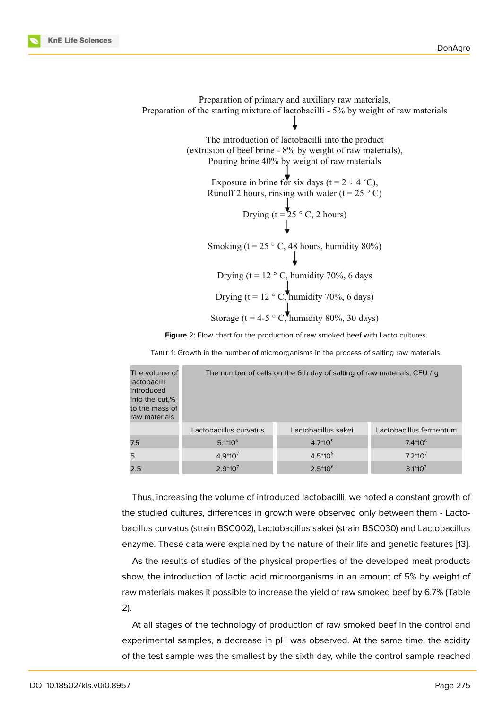Preparation of primary and auxiliary raw materials, Preparation of the starting mixture of lactobacilli - 5% by weight of raw materials The introduction of lactobacilli into the product (extrusion of beef brine - 8% by weight of raw materials), Pouring brine 40% by weight of raw materials Exposure in brine for six days ( $t = 2 \div 4$  °C), Runoff 2 hours, rinsing with water ( $t = 25^\circ$  C) Drying (t =  $25 ° C$ , 2 hours) Smoking (t = 25  $\degree$  C, 48 hours, humidity 80%) Drying (t =  $12 \degree$  C, humidity 70%, 6 days Drying (t =  $12 \degree$  C, humidity 70%, 6 days) Storage (t = 4-5  $\degree$  C, humidity 80%, 30 days)

**Figure** 2: Flow chart for the production of raw smoked beef with Lacto cultures.

| The volume of<br>lactobacilli<br>introduced<br>into the cut.%<br>to the mass of<br>raw materials | The number of cells on the 6th day of salting of raw materials, CFU / g |                     |                         |
|--------------------------------------------------------------------------------------------------|-------------------------------------------------------------------------|---------------------|-------------------------|
|                                                                                                  | Lactobacillus curvatus                                                  | Lactobacillus sakei | Lactobacillus fermentum |
| 7.5                                                                                              | $5.1*10^{6}$                                                            | $4.7*10^{5}$        | $7.4*10^{6}$            |
| 5                                                                                                | $4.9*10^{7}$                                                            | $4.5*10^{6}$        | $7.2*107$               |
| 2.5                                                                                              | $2.9*10^{7}$                                                            | $2.5*10^{6}$        | $3.1*10^{7}$            |

TABLE 1: Growth in the number of microorganisms in the process of salting raw materials.

Thus, increasing the volume of introduced lactobacilli, we noted a constant growth of the studied cultures, differences in growth were observed only between them - Lactobacillus curvatus (strain BSC002), Lactobacillus sakei (strain BSC030) and Lactobacillus enzyme. These data were explained by the nature of their life and genetic features [13].

As the results of studies of the physical properties of the developed meat products show, the introduction of lactic acid microorganisms in an amount of 5% by weight of raw materials makes it possible to increase the yield of raw smoked beef by 6.7% (T[able](#page-7-5) 2).

At all stages of the technology of production of raw smoked beef in the control and experimental samples, a decrease in pH was observed. At the same time, the acidity of the test sample was the smallest by the sixth day, while the control sample reached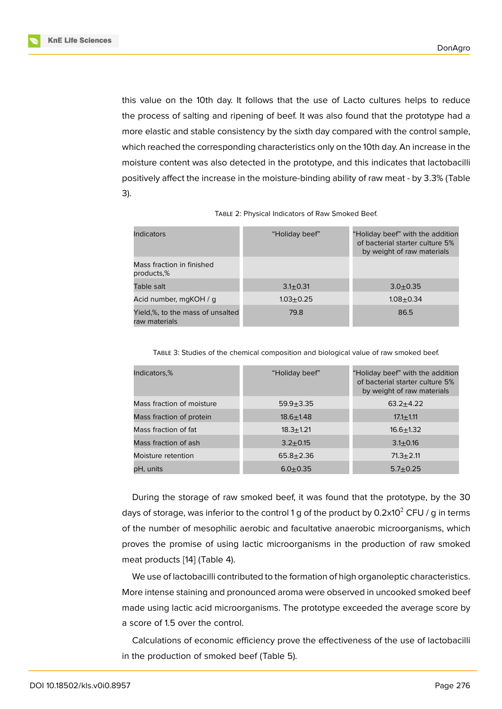this value on the 10th day. It follows that the use of Lacto cultures helps to reduce the process of salting and ripening of beef. It was also found that the prototype had a more elastic and stable consistency by the sixth day compared with the control sample, which reached the corresponding characteristics only on the 10th day. An increase in the moisture content was also detected in the prototype, and this indicates that lactobacilli positively affect the increase in the moisture-binding ability of raw meat - by 3.3% (Table 3).

| <b>Indicators</b>                                 | "Holiday beef" | "Holiday beef" with the addition<br>of bacterial starter culture 5%<br>by weight of raw materials |
|---------------------------------------------------|----------------|---------------------------------------------------------------------------------------------------|
| Mass fraction in finished<br>products.%           |                |                                                                                                   |
| Table salt                                        | $3.1 + 0.31$   | $3.0 + 0.35$                                                                                      |
| Acid number, mgKOH / g                            | $1.03 + 0.25$  | $1.08 + 0.34$                                                                                     |
| Yield,%, to the mass of unsalted<br>raw materials | 79.8           | 86.5                                                                                              |

| TABLE 2: Physical Indicators of Raw Smoked Beef. |  |
|--------------------------------------------------|--|
|--------------------------------------------------|--|

TABLE 3: Studies of the chemical composition and biological value of raw smoked beef.

| Indicators,%              | "Holiday beef" | "Holiday beef" with the addition<br>of bacterial starter culture 5%<br>by weight of raw materials |
|---------------------------|----------------|---------------------------------------------------------------------------------------------------|
| Mass fraction of moisture | $59.9 + 3.35$  | $63.2 + 4.22$                                                                                     |
| Mass fraction of protein  | $18.6 + 1.48$  | $17.1 \pm 1.11$                                                                                   |
| Mass fraction of fat      | $18.3 + 1.21$  | $16.6 + 1.32$                                                                                     |
| Mass fraction of ash      | $3.2 + 0.15$   | $3.1 \pm 0.16$                                                                                    |
| Moisture retention        | $65.8 + 2.36$  | $71.3 + 2.11$                                                                                     |
| pH, units                 | $6.0 + 0.35$   | $5.7 + 0.25$                                                                                      |

During the storage of raw smoked beef, it was found that the prototype, by the 30 days of storage, was inferior to the control 1 g of the product by 0.2x10<sup>2</sup> CFU / g in terms of the number of mesophilic aerobic and facultative anaerobic microorganisms, which proves the promise of using lactic microorganisms in the production of raw smoked meat products [14] (Table 4).

We use of lactobacilli contributed to the formation of high organoleptic characteristics. More intense staining and pronounced aroma were observed in uncooked smoked beef made using lac[tic](#page-7-6) acid microorganisms. The prototype exceeded the average score by a score of 1.5 over the control.

Calculations of economic efficiency prove the effectiveness of the use of lactobacilli in the production of smoked beef (Table 5).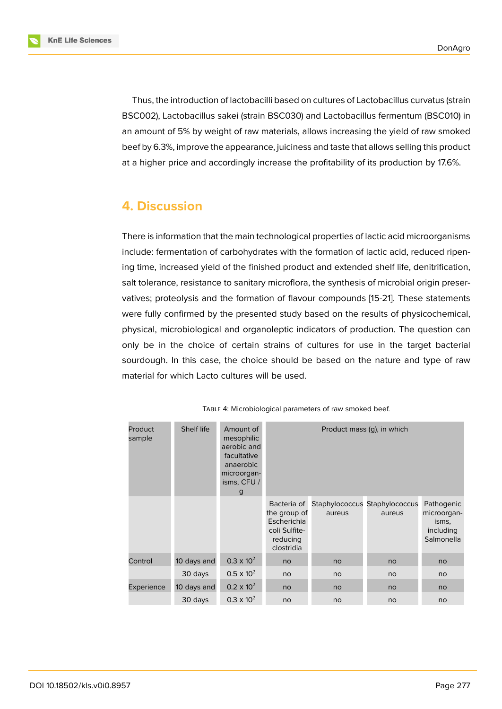**KnE Life Sciences** 

Thus, the introduction of lactobacilli based on cultures of Lactobacillus curvatus (strain BSC002), Lactobacillus sakei (strain BSC030) and Lactobacillus fermentum (BSC010) in an amount of 5% by weight of raw materials, allows increasing the yield of raw smoked beef by 6.3%, improve the appearance, juiciness and taste that allows selling this product at a higher price and accordingly increase the profitability of its production by 17.6%.

# **4. Discussion**

There is information that the main technological properties of lactic acid microorganisms include: fermentation of carbohydrates with the formation of lactic acid, reduced ripening time, increased yield of the finished product and extended shelf life, denitrification, salt tolerance, resistance to sanitary microflora, the synthesis of microbial origin preservatives; proteolysis and the formation of flavour compounds [15-21]. These statements were fully confirmed by the presented study based on the results of physicochemical, physical, microbiological and organoleptic indicators of production. The question can only be in the choice of certain strains of cultures for use in the target bacterial sourdough. In this case, the choice should be based on the nature and type of raw material for which Lacto cultures will be used.

| Product<br>sample | Shelf life  | Amount of<br>mesophilic<br>aerobic and<br>facultative<br>anaerobic<br>microorgan-<br>isms, CFU /<br>g | Product mass (q), in which                                                            |        |                                         |                                                               |
|-------------------|-------------|-------------------------------------------------------------------------------------------------------|---------------------------------------------------------------------------------------|--------|-----------------------------------------|---------------------------------------------------------------|
|                   |             |                                                                                                       | Bacteria of<br>the group of<br>Escherichia<br>coli Sulfite-<br>reducing<br>clostridia | aureus | Staphylococcus Staphylococcus<br>aureus | Pathogenic<br>microorgan-<br>isms,<br>including<br>Salmonella |
| Control           | 10 days and | $0.3 \times 10^{2}$                                                                                   | no                                                                                    | no     | no                                      | no                                                            |
|                   | 30 days     | $0.5 \times 10^{2}$                                                                                   | no                                                                                    | no     | no                                      | no                                                            |
| Experience        | 10 days and | $0.2 \times 10^{2}$                                                                                   | no                                                                                    | no     | no                                      | no                                                            |
|                   | 30 days     | $0.3 \times 10^{2}$                                                                                   | no                                                                                    | no     | no                                      | no                                                            |

TABLE 4: Microbiological parameters of raw smoked beef.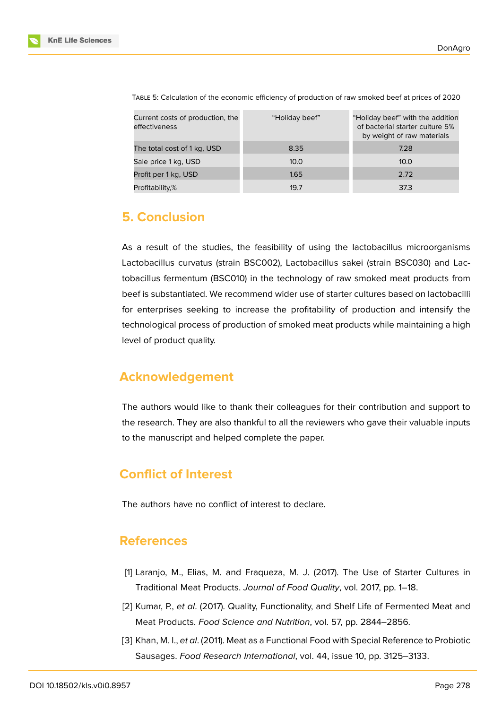

| Current costs of production, the<br>effectiveness | "Holiday beef" | "Holiday beef" with the addition<br>of bacterial starter culture 5%<br>by weight of raw materials |
|---------------------------------------------------|----------------|---------------------------------------------------------------------------------------------------|
| The total cost of 1 kg, USD                       | 8.35           | 7.28                                                                                              |
| Sale price 1 kg, USD                              | 10.0           | 10.0                                                                                              |
| Profit per 1 kg, USD                              | 1.65           | 2.72                                                                                              |
| Profitability,%                                   | 19.7           | 37.3                                                                                              |

TABLE 5: Calculation of the economic efficiency of production of raw smoked beef at prices of 2020

### **5. Conclusion**

As a result of the studies, the feasibility of using the lactobacillus microorganisms Lactobacillus curvatus (strain BSC002), Lactobacillus sakei (strain BSC030) and Lactobacillus fermentum (BSC010) in the technology of raw smoked meat products from beef is substantiated. We recommend wider use of starter cultures based on lactobacilli for enterprises seeking to increase the profitability of production and intensify the technological process of production of smoked meat products while maintaining a high level of product quality.

### **Acknowledgement**

The authors would like to thank their colleagues for their contribution and support to the research. They are also thankful to all the reviewers who gave their valuable inputs to the manuscript and helped complete the paper.

# **Conflict of Interest**

The authors have no conflict of interest to declare.

### **References**

- <span id="page-6-0"></span>[1] Laranjo, M., Elias, M. and Fraqueza, M. J. (2017). The Use of Starter Cultures in Traditional Meat Products. *Journal of Food Quality*, vol. 2017, pp. 1–18.
- <span id="page-6-1"></span>[2] Kumar, P., *et al*. (2017). Quality, Functionality, and Shelf Life of Fermented Meat and Meat Products. *Food Science and Nutrition*, vol. 57, pp. 2844–2856.
- <span id="page-6-2"></span>[3] Khan, M. I., *et al*. (2011). Meat as a Functional Food with Special Reference to Probiotic Sausages. *Food Research International*, vol. 44, issue 10, pp. 3125–3133.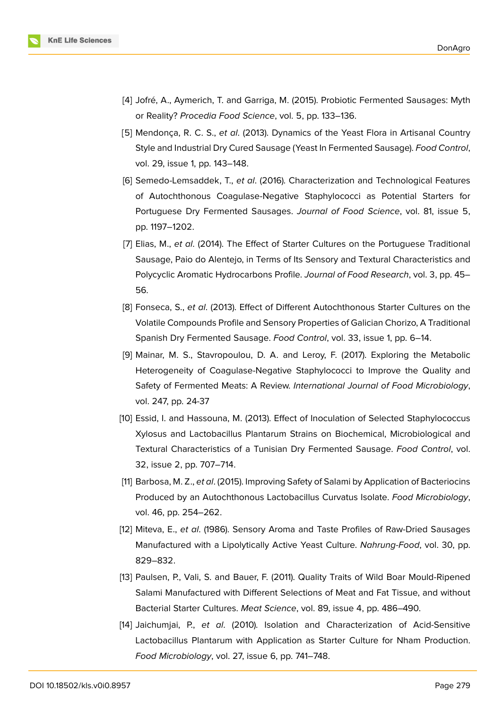

- <span id="page-7-0"></span>[4] Jofré, A., Aymerich, T. and Garriga, M. (2015). Probiotic Fermented Sausages: Myth or Reality? *Procedia Food Science*, vol. 5, pp. 133–136.
- <span id="page-7-1"></span>[5] Mendonça, R. C. S., *et al*. (2013). Dynamics of the Yeast Flora in Artisanal Country Style and Industrial Dry Cured Sausage (Yeast In Fermented Sausage). *Food Control*, vol. 29, issue 1, pp. 143–148.
- <span id="page-7-2"></span>[6] Semedo-Lemsaddek, T., *et al*. (2016). Characterization and Technological Features of Autochthonous Coagulase-Negative Staphylococci as Potential Starters for Portuguese Dry Fermented Sausages. *Journal of Food Science*, vol. 81, issue 5, pp. 1197–1202.
- <span id="page-7-3"></span>[7] Elias, M., *et al*. (2014). The Effect of Starter Cultures on the Portuguese Traditional Sausage, Paio do Alentejo, in Terms of Its Sensory and Textural Characteristics and Polycyclic Aromatic Hydrocarbons Profile. *Journal of Food Research*, vol. 3, pp. 45– 56.
- <span id="page-7-4"></span>[8] Fonseca, S., *et al*. (2013). Effect of Different Autochthonous Starter Cultures on the Volatile Compounds Profile and Sensory Properties of Galician Chorizo, A Traditional Spanish Dry Fermented Sausage. *Food Control*, vol. 33, issue 1, pp. 6–14.
- [9] Mainar, M. S., Stavropoulou, D. A. and Leroy, F. (2017). Exploring the Metabolic Heterogeneity of Coagulase-Negative Staphylococci to Improve the Quality and Safety of Fermented Meats: A Review. *International Journal of Food Microbiology*, vol. 247, pp. 24-37
- [10] Essid, I. and Hassouna, M. (2013). Effect of Inoculation of Selected Staphylococcus Xylosus and Lactobacillus Plantarum Strains on Biochemical, Microbiological and Textural Characteristics of a Tunisian Dry Fermented Sausage. *Food Control*, vol. 32, issue 2, pp. 707–714.
- [11] Barbosa, M. Z., *et al*. (2015). Improving Safety of Salami by Application of Bacteriocins Produced by an Autochthonous Lactobacillus Curvatus Isolate. *Food Microbiology*, vol. 46, pp. 254–262.
- [12] Miteva, E., *et al*. (1986). Sensory Aroma and Taste Profiles of Raw-Dried Sausages Manufactured with a Lipolytically Active Yeast Culture. *Nahrung-Food*, vol. 30, pp. 829–832.
- <span id="page-7-5"></span>[13] Paulsen, P., Vali, S. and Bauer, F. (2011). Quality Traits of Wild Boar Mould-Ripened Salami Manufactured with Different Selections of Meat and Fat Tissue, and without Bacterial Starter Cultures. *Meat Science*, vol. 89, issue 4, pp. 486–490.
- <span id="page-7-6"></span>[14] Jaichumjai, P., *et al*. (2010). Isolation and Characterization of Acid-Sensitive Lactobacillus Plantarum with Application as Starter Culture for Nham Production. *Food Microbiology*, vol. 27, issue 6, pp. 741–748.